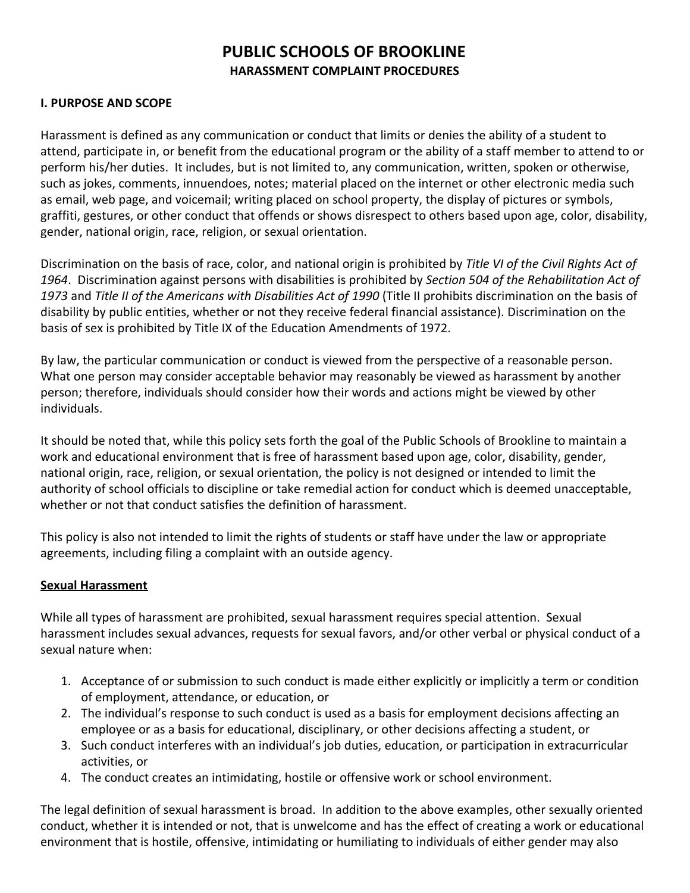# **PUBLIC SCHOOLS OF BROOKLINE HARASSMENT COMPLAINT PROCEDURES**

#### **I. PURPOSE AND SCOPE**

Harassment is defined as any communication or conduct that limits or denies the ability of a student to attend, participate in, or benefit from the educational program or the ability of a staff member to attend to or perform his/her duties. It includes, but is not limited to, any communication, written, spoken or otherwise, such as jokes, comments, innuendoes, notes; material placed on the internet or other electronic media such as email, web page, and voicemail; writing placed on school property, the display of pictures or symbols, graffiti, gestures, or other conduct that offends or shows disrespect to others based upon age, color, disability, gender, national origin, race, religion, or sexual orientation.

Discrimination on the basis of race, color, and national origin is prohibited by *Title VI of the Civil Rights Act of 1964*. Discrimination against persons with disabilities is prohibited by *Section 504 of the Rehabilitation Act of 1973* and *Title II of the Americans with Disabilities Act of 1990* (Title II prohibits discrimination on the basis of disability by public entities, whether or not they receive federal financial assistance). Discrimination on the basis of sex is prohibited by Title IX of the Education Amendments of 1972.

By law, the particular communication or conduct is viewed from the perspective of a reasonable person. What one person may consider acceptable behavior may reasonably be viewed as harassment by another person; therefore, individuals should consider how their words and actions might be viewed by other individuals.

It should be noted that, while this policy sets forth the goal of the Public Schools of Brookline to maintain a work and educational environment that is free of harassment based upon age, color, disability, gender, national origin, race, religion, or sexual orientation, the policy is not designed or intended to limit the authority of school officials to discipline or take remedial action for conduct which is deemed unacceptable, whether or not that conduct satisfies the definition of harassment.

This policy is also not intended to limit the rights of students or staff have under the law or appropriate agreements, including filing a complaint with an outside agency.

#### **Sexual Harassment**

While all types of harassment are prohibited, sexual harassment requires special attention. Sexual harassment includes sexual advances, requests for sexual favors, and/or other verbal or physical conduct of a sexual nature when:

- 1. Acceptance of or submission to such conduct is made either explicitly or implicitly a term or condition of employment, attendance, or education, or
- 2. The individual's response to such conduct is used as a basis for employment decisions affecting an employee or as a basis for educational, disciplinary, or other decisions affecting a student, or
- 3. Such conduct interferes with an individual's job duties, education, or participation in extracurricular activities, or
- 4. The conduct creates an intimidating, hostile or offensive work or school environment.

The legal definition of sexual harassment is broad. In addition to the above examples, other sexually oriented conduct, whether it is intended or not, that is unwelcome and has the effect of creating a work or educational environment that is hostile, offensive, intimidating or humiliating to individuals of either gender may also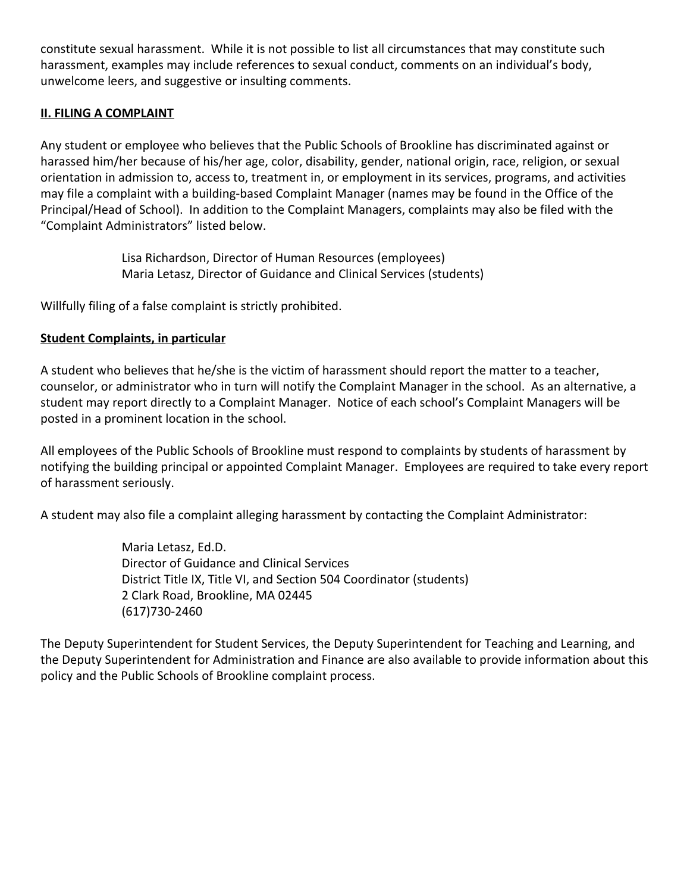constitute sexual harassment. While it is not possible to list all circumstances that may constitute such harassment, examples may include references to sexual conduct, comments on an individual's body, unwelcome leers, and suggestive or insulting comments.

#### **II. FILING A COMPLAINT**

Any student or employee who believes that the Public Schools of Brookline has discriminated against or harassed him/her because of his/her age, color, disability, gender, national origin, race, religion, or sexual orientation in admission to, access to, treatment in, or employment in its services, programs, and activities may file a complaint with a building-based Complaint Manager (names may be found in the Office of the Principal/Head of School). In addition to the Complaint Managers, complaints may also be filed with the "Complaint Administrators" listed below.

> Lisa Richardson, Director of Human Resources (employees) Maria Letasz, Director of Guidance and Clinical Services (students)

Willfully filing of a false complaint is strictly prohibited.

#### **Student Complaints, in particular**

A student who believes that he/she is the victim of harassment should report the matter to a teacher, counselor, or administrator who in turn will notify the Complaint Manager in the school. As an alternative, a student may report directly to a Complaint Manager. Notice of each school's Complaint Managers will be posted in a prominent location in the school.

All employees of the Public Schools of Brookline must respond to complaints by students of harassment by notifying the building principal or appointed Complaint Manager. Employees are required to take every report of harassment seriously.

A student may also file a complaint alleging harassment by contacting the Complaint Administrator:

Maria Letasz, Ed.D. Director of Guidance and Clinical Services District Title IX, Title VI, and Section 504 Coordinator (students) 2 Clark Road, Brookline, MA 02445 (617)730-2460

The Deputy Superintendent for Student Services, the Deputy Superintendent for Teaching and Learning, and the Deputy Superintendent for Administration and Finance are also available to provide information about this policy and the Public Schools of Brookline complaint process.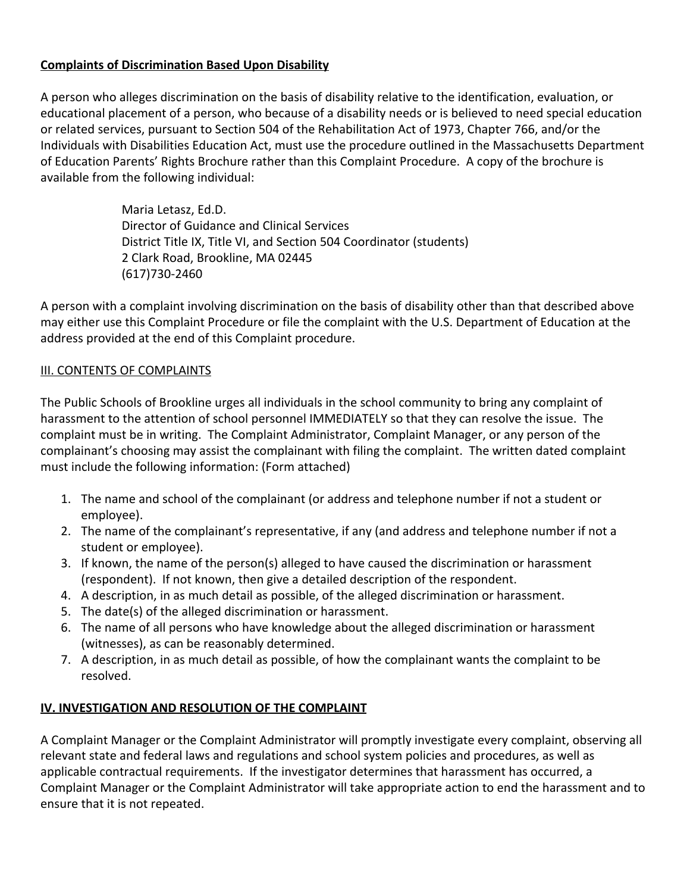## **Complaints of Discrimination Based Upon Disability**

A person who alleges discrimination on the basis of disability relative to the identification, evaluation, or educational placement of a person, who because of a disability needs or is believed to need special education or related services, pursuant to Section 504 of the Rehabilitation Act of 1973, Chapter 766, and/or the Individuals with Disabilities Education Act, must use the procedure outlined in the Massachusetts Department of Education Parents' Rights Brochure rather than this Complaint Procedure. A copy of the brochure is available from the following individual:

> Maria Letasz, Ed.D. Director of Guidance and Clinical Services District Title IX, Title VI, and Section 504 Coordinator (students) 2 Clark Road, Brookline, MA 02445 (617)730-2460

A person with a complaint involving discrimination on the basis of disability other than that described above may either use this Complaint Procedure or file the complaint with the U.S. Department of Education at the address provided at the end of this Complaint procedure.

#### **III. CONTENTS OF COMPLAINTS**

The Public Schools of Brookline urges all individuals in the school community to bring any complaint of harassment to the attention of school personnel IMMEDIATELY so that they can resolve the issue. The complaint must be in writing. The Complaint Administrator, Complaint Manager, or any person of the complainant's choosing may assist the complainant with filing the complaint. The written dated complaint must include the following information: (Form attached)

- 1. The name and school of the complainant (or address and telephone number if not a student or employee).
- 2. The name of the complainant's representative, if any (and address and telephone number if not a student or employee).
- 3. If known, the name of the person(s) alleged to have caused the discrimination or harassment (respondent). If not known, then give a detailed description of the respondent.
- 4. A description, in as much detail as possible, of the alleged discrimination or harassment.
- 5. The date(s) of the alleged discrimination or harassment.
- 6. The name of all persons who have knowledge about the alleged discrimination or harassment (witnesses), as can be reasonably determined.
- 7. A description, in as much detail as possible, of how the complainant wants the complaint to be resolved.

## **IV. INVESTIGATION AND RESOLUTION OF THE COMPLAINT**

A Complaint Manager or the Complaint Administrator will promptly investigate every complaint, observing all relevant state and federal laws and regulations and school system policies and procedures, as well as applicable contractual requirements. If the investigator determines that harassment has occurred, a Complaint Manager or the Complaint Administrator will take appropriate action to end the harassment and to ensure that it is not repeated.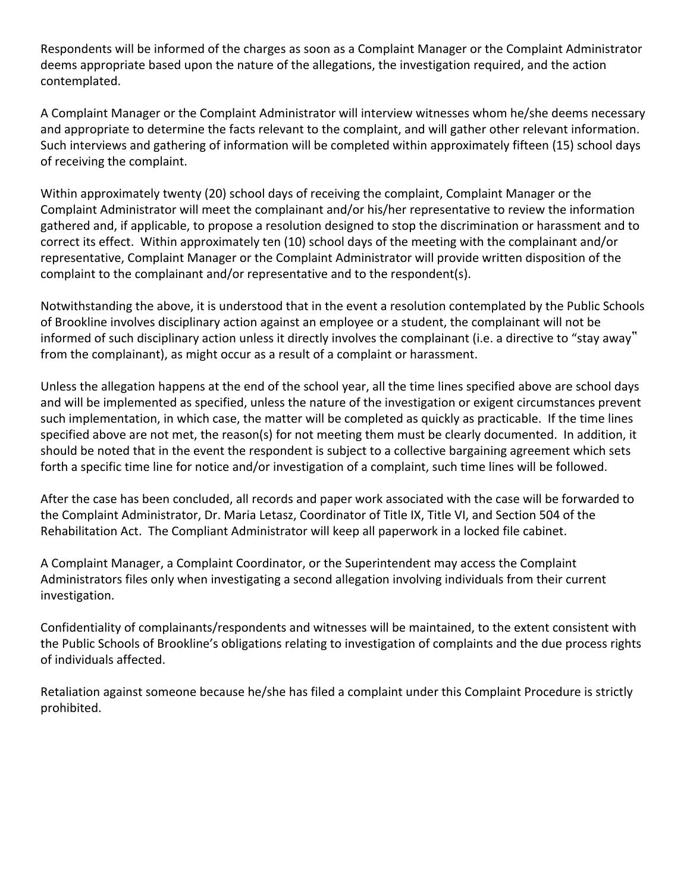Respondents will be informed of the charges as soon as a Complaint Manager or the Complaint Administrator deems appropriate based upon the nature of the allegations, the investigation required, and the action contemplated.

A Complaint Manager or the Complaint Administrator will interview witnesses whom he/she deems necessary and appropriate to determine the facts relevant to the complaint, and will gather other relevant information. Such interviews and gathering of information will be completed within approximately fifteen (15) school days of receiving the complaint.

Within approximately twenty (20) school days of receiving the complaint, Complaint Manager or the Complaint Administrator will meet the complainant and/or his/her representative to review the information gathered and, if applicable, to propose a resolution designed to stop the discrimination or harassment and to correct its effect. Within approximately ten (10) school days of the meeting with the complainant and/or representative, Complaint Manager or the Complaint Administrator will provide written disposition of the complaint to the complainant and/or representative and to the respondent(s).

Notwithstanding the above, it is understood that in the event a resolution contemplated by the Public Schools of Brookline involves disciplinary action against an employee or a student, the complainant will not be informed of such disciplinary action unless it directly involves the complainant (i.e. a directive to "stay away" from the complainant), as might occur as a result of a complaint or harassment.

Unless the allegation happens at the end of the school year, all the time lines specified above are school days and will be implemented as specified, unless the nature of the investigation or exigent circumstances prevent such implementation, in which case, the matter will be completed as quickly as practicable. If the time lines specified above are not met, the reason(s) for not meeting them must be clearly documented. In addition, it should be noted that in the event the respondent is subject to a collective bargaining agreement which sets forth a specific time line for notice and/or investigation of a complaint, such time lines will be followed.

After the case has been concluded, all records and paper work associated with the case will be forwarded to the Complaint Administrator, Dr. Maria Letasz, Coordinator of Title IX, Title VI, and Section 504 of the Rehabilitation Act. The Compliant Administrator will keep all paperwork in a locked file cabinet.

A Complaint Manager, a Complaint Coordinator, or the Superintendent may access the Complaint Administrators files only when investigating a second allegation involving individuals from their current investigation.

Confidentiality of complainants/respondents and witnesses will be maintained, to the extent consistent with the Public Schools of Brookline's obligations relating to investigation of complaints and the due process rights of individuals affected.

Retaliation against someone because he/she has filed a complaint under this Complaint Procedure is strictly prohibited.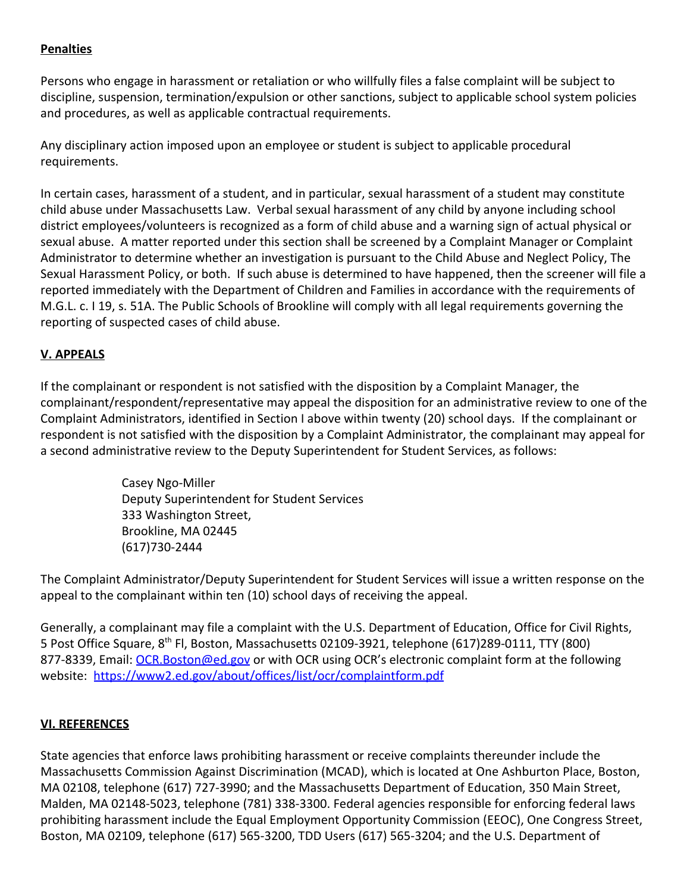## **Penalties**

Persons who engage in harassment or retaliation or who willfully files a false complaint will be subject to discipline, suspension, termination/expulsion or other sanctions, subject to applicable school system policies and procedures, as well as applicable contractual requirements.

Any disciplinary action imposed upon an employee or student is subject to applicable procedural requirements.

In certain cases, harassment of a student, and in particular, sexual harassment of a student may constitute child abuse under Massachusetts Law. Verbal sexual harassment of any child by anyone including school district employees/volunteers is recognized as a form of child abuse and a warning sign of actual physical or sexual abuse. A matter reported under this section shall be screened by a Complaint Manager or Complaint Administrator to determine whether an investigation is pursuant to the Child Abuse and Neglect Policy, The Sexual Harassment Policy, or both. If such abuse is determined to have happened, then the screener will file a reported immediately with the Department of Children and Families in accordance with the requirements of M.G.L. c. I 19, s. 51A. The Public Schools of Brookline will comply with all legal requirements governing the reporting of suspected cases of child abuse.

## **V. APPEALS**

If the complainant or respondent is not satisfied with the disposition by a Complaint Manager, the complainant/respondent/representative may appeal the disposition for an administrative review to one of the Complaint Administrators, identified in Section I above within twenty (20) school days. If the complainant or respondent is not satisfied with the disposition by a Complaint Administrator, the complainant may appeal for a second administrative review to the Deputy Superintendent for Student Services, as follows:

> Casey Ngo-Miller Deputy Superintendent for Student Services 333 Washington Street, Brookline, MA 02445 (617)730-2444

The Complaint Administrator/Deputy Superintendent for Student Services will issue a written response on the appeal to the complainant within ten (10) school days of receiving the appeal.

Generally, a complainant may file a complaint with the U.S. Department of Education, Office for Civil Rights, 5 Post Office Square, 8<sup>th</sup> Fl, Boston, Massachusetts 02109-3921, telephone (617)289-0111, TTY (800) 877-8339, Email: [OCR.Boston@ed.gov](mailto:OCR.Boston@ed.gov) or with OCR using OCR's electronic complaint form at the following website: <https://www2.ed.gov/about/offices/list/ocr/complaintform.pdf>

## **VI. REFERENCES**

State agencies that enforce laws prohibiting harassment or receive complaints thereunder include the Massachusetts Commission Against Discrimination (MCAD), which is located at One Ashburton Place, Boston, MA 02108, telephone (617) 727-3990; and the Massachusetts Department of Education, 350 Main Street, Malden, MA 02148-5023, telephone (781) 338-3300. Federal agencies responsible for enforcing federal laws prohibiting harassment include the Equal Employment Opportunity Commission (EEOC), One Congress Street, Boston, MA 02109, telephone (617) 565-3200, TDD Users (617) 565-3204; and the U.S. Department of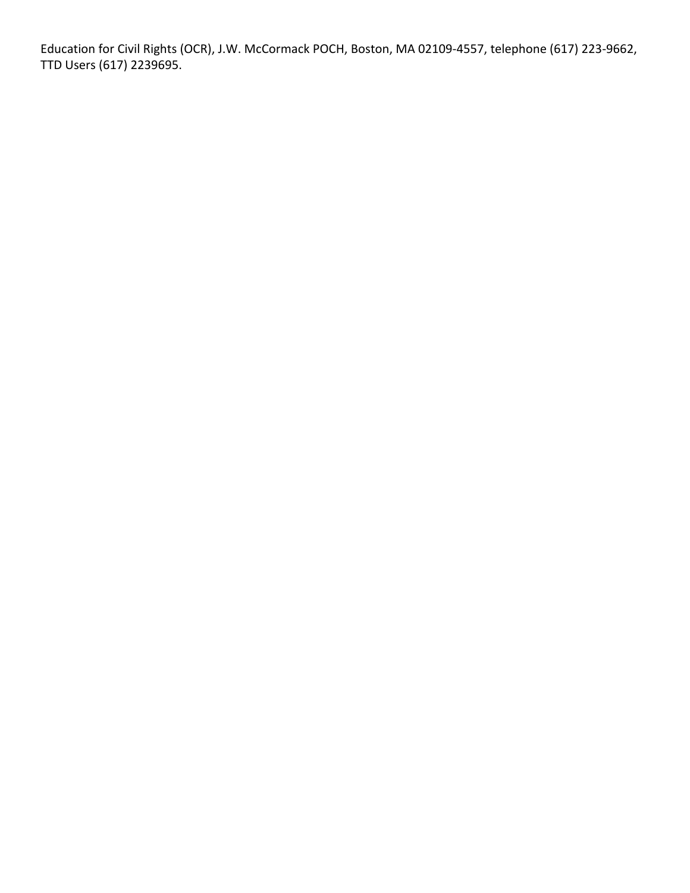Education for Civil Rights (OCR), J.W. McCormack POCH, Boston, MA 02109-4557, telephone (617) 223-9662, TTD Users (617) 2239695.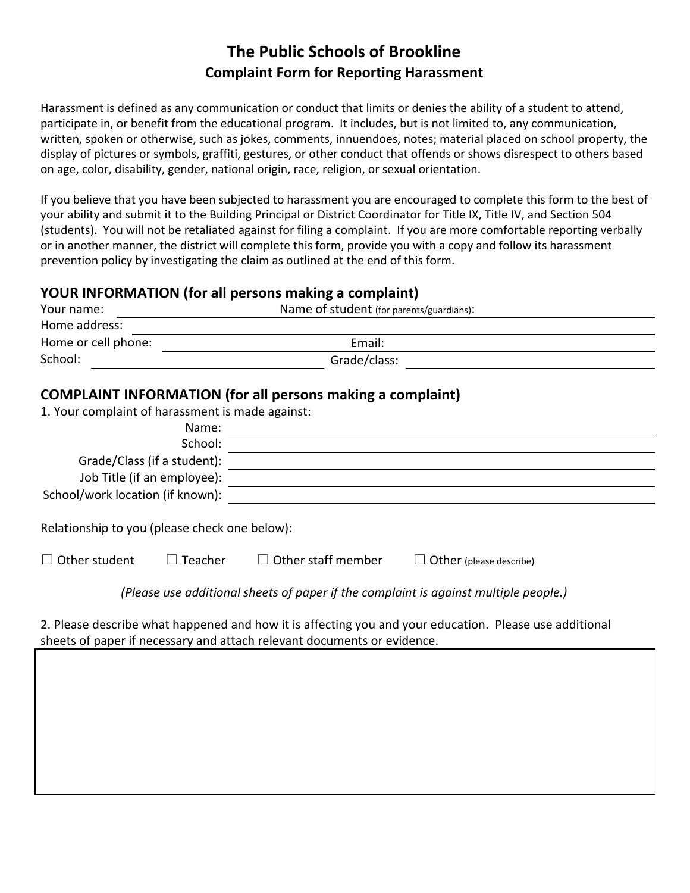# **The Public Schools of Brookline Complaint Form for Reporting Harassment**

Harassment is defined as any communication or conduct that limits or denies the ability of a student to attend, participate in, or benefit from the educational program. It includes, but is not limited to, any communication, written, spoken or otherwise, such as jokes, comments, innuendoes, notes; material placed on school property, the display of pictures or symbols, graffiti, gestures, or other conduct that offends or shows disrespect to others based on age, color, disability, gender, national origin, race, religion, or sexual orientation.

If you believe that you have been subjected to harassment you are encouraged to complete this form to the best of your ability and submit it to the Building Principal or District Coordinator for Title IX, Title IV, and Section 504 (students). You will not be retaliated against for filing a complaint. If you are more comfortable reporting verbally or in another manner, the district will complete this form, provide you with a copy and follow its harassment prevention policy by investigating the claim as outlined at the end of this form.

## **YOUR INFORMATION (for all persons making a complaint)**

| Your name:                                       |                                                                                   | Name of student (for parents/guardians):                                                                                                                                                                                                       |                                                                                                                       |  |  |  |
|--------------------------------------------------|-----------------------------------------------------------------------------------|------------------------------------------------------------------------------------------------------------------------------------------------------------------------------------------------------------------------------------------------|-----------------------------------------------------------------------------------------------------------------------|--|--|--|
| Home address:                                    |                                                                                   |                                                                                                                                                                                                                                                |                                                                                                                       |  |  |  |
| Home or cell phone:                              |                                                                                   | Email:<br><u> 1989 - Jan Stern Stern Stern Stern Stern Stern Stern Stern Stern Stern Stern Stern Stern Stern Stern Stern Stern Stern Stern Stern Stern Stern Stern Stern Stern Stern Stern Stern Stern Stern Stern Stern Stern Stern Stern</u> |                                                                                                                       |  |  |  |
| School:                                          | Grade/class:<br><u> 1989 - Johann Stein, mars an de British Barbara (b. 1989)</u> |                                                                                                                                                                                                                                                |                                                                                                                       |  |  |  |
|                                                  |                                                                                   | <b>COMPLAINT INFORMATION (for all persons making a complaint)</b>                                                                                                                                                                              |                                                                                                                       |  |  |  |
| 1. Your complaint of harassment is made against: |                                                                                   |                                                                                                                                                                                                                                                |                                                                                                                       |  |  |  |
|                                                  | Name:                                                                             |                                                                                                                                                                                                                                                | <u> 1980 - Jan Samuel Barbara, martin a shekara tsara 1980 - An tsara 1980 - An tsara 1980 - An tsara 1980 - An t</u> |  |  |  |
|                                                  | School:                                                                           |                                                                                                                                                                                                                                                |                                                                                                                       |  |  |  |
|                                                  |                                                                                   |                                                                                                                                                                                                                                                |                                                                                                                       |  |  |  |
|                                                  |                                                                                   |                                                                                                                                                                                                                                                |                                                                                                                       |  |  |  |
| School/work location (if known):                 |                                                                                   |                                                                                                                                                                                                                                                | <u> 1989 - John Stone, amerikansk politiker (d. 1989)</u>                                                             |  |  |  |
| Relationship to you (please check one below):    |                                                                                   |                                                                                                                                                                                                                                                |                                                                                                                       |  |  |  |
| $\Box$ Other student                             | $\Box$ Teacher                                                                    | $\Box$ Other staff member                                                                                                                                                                                                                      | $\Box$ Other (please describe)                                                                                        |  |  |  |
|                                                  |                                                                                   |                                                                                                                                                                                                                                                | (Please use additional sheets of paper if the complaint is against multiple people.)                                  |  |  |  |
|                                                  |                                                                                   | sheets of paper if necessary and attach relevant documents or evidence.                                                                                                                                                                        | 2. Please describe what happened and how it is affecting you and your education. Please use additional                |  |  |  |
|                                                  |                                                                                   |                                                                                                                                                                                                                                                |                                                                                                                       |  |  |  |
|                                                  |                                                                                   |                                                                                                                                                                                                                                                |                                                                                                                       |  |  |  |
|                                                  |                                                                                   |                                                                                                                                                                                                                                                |                                                                                                                       |  |  |  |
|                                                  |                                                                                   |                                                                                                                                                                                                                                                |                                                                                                                       |  |  |  |